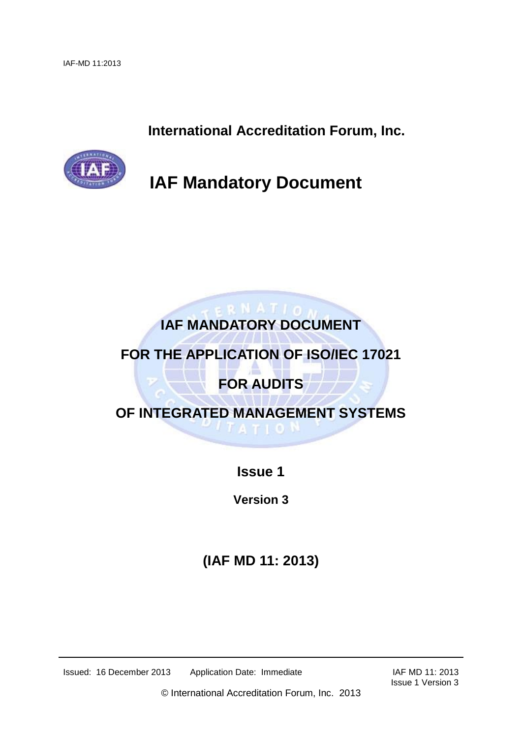**International Accreditation Forum, Inc.**



**IAF Mandatory Document** 

# ERNATION **IAF MANDATORY DOCUMENT**

## **FOR THE APPLICATION OF ISO/IEC 17021**

# **FOR AUDITS**

**OF INTEGRATED MANAGEMENT SYSTEMS ATIO** 

**Issue 1**

**Version 3**

**(IAF MD 11: 2013)**

Issued: 16 December 2013 Application Date: Immediate IAF MD 11: 2013

Issue 1 Version 3

© International Accreditation Forum, Inc. 2013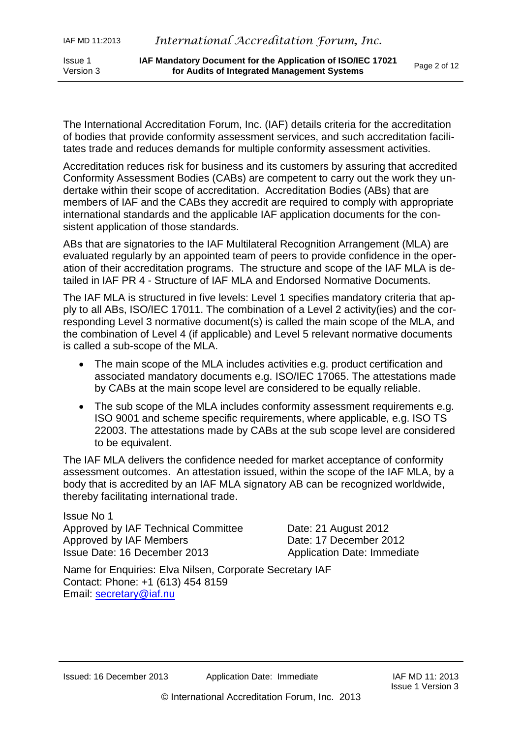The International Accreditation Forum, Inc. (IAF) details criteria for the accreditation of bodies that provide conformity assessment services, and such accreditation facilitates trade and reduces demands for multiple conformity assessment activities.

Accreditation reduces risk for business and its customers by assuring that accredited Conformity Assessment Bodies (CABs) are competent to carry out the work they undertake within their scope of accreditation. Accreditation Bodies (ABs) that are members of IAF and the CABs they accredit are required to comply with appropriate international standards and the applicable IAF application documents for the consistent application of those standards.

ABs that are signatories to the IAF Multilateral Recognition Arrangement (MLA) are evaluated regularly by an appointed team of peers to provide confidence in the operation of their accreditation programs. The structure and scope of the IAF MLA is detailed in IAF PR 4 - Structure of IAF MLA and Endorsed Normative Documents.

The IAF MLA is structured in five levels: Level 1 specifies mandatory criteria that apply to all ABs, ISO/IEC 17011. The combination of a Level 2 activity(ies) and the corresponding Level 3 normative document(s) is called the main scope of the MLA, and the combination of Level 4 (if applicable) and Level 5 relevant normative documents is called a sub-scope of the MLA.

- The main scope of the MLA includes activities e.g. product certification and associated mandatory documents e.g. ISO/IEC 17065. The attestations made by CABs at the main scope level are considered to be equally reliable.
- The sub scope of the MLA includes conformity assessment requirements e.g. ISO 9001 and scheme specific requirements, where applicable, e.g. ISO TS 22003. The attestations made by CABs at the sub scope level are considered to be equivalent.

The IAF MLA delivers the confidence needed for market acceptance of conformity assessment outcomes. An attestation issued, within the scope of the IAF MLA, by a body that is accredited by an IAF MLA signatory AB can be recognized worldwide, thereby facilitating international trade.

Issue No 1 Approved by IAF Technical Committee Date: 21 August 2012 Approved by IAF Members Date: 17 December 2012 Issue Date: 16 December 2013 Application Date: Immediate

Name for Enquiries: Elva Nilsen, Corporate Secretary IAF Contact: Phone: +1 (613) 454 8159 Email: [secretary@iaf.nu](mailto:secretary@iaf.nu)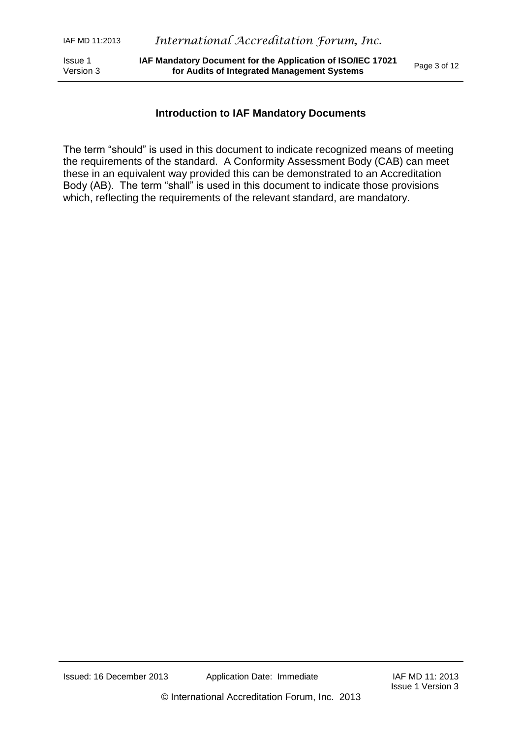#### **Introduction to IAF Mandatory Documents**

The term "should" is used in this document to indicate recognized means of meeting the requirements of the standard. A Conformity Assessment Body (CAB) can meet these in an equivalent way provided this can be demonstrated to an Accreditation Body (AB). The term "shall" is used in this document to indicate those provisions which, reflecting the requirements of the relevant standard, are mandatory.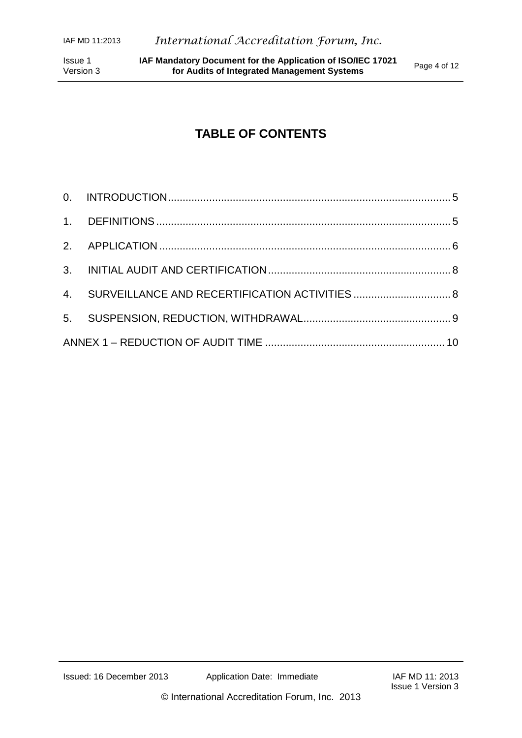## **TABLE OF CONTENTS**

| 4. SURVEILLANCE AND RECERTIFICATION ACTIVITIES  8 |  |  |
|---------------------------------------------------|--|--|
|                                                   |  |  |
|                                                   |  |  |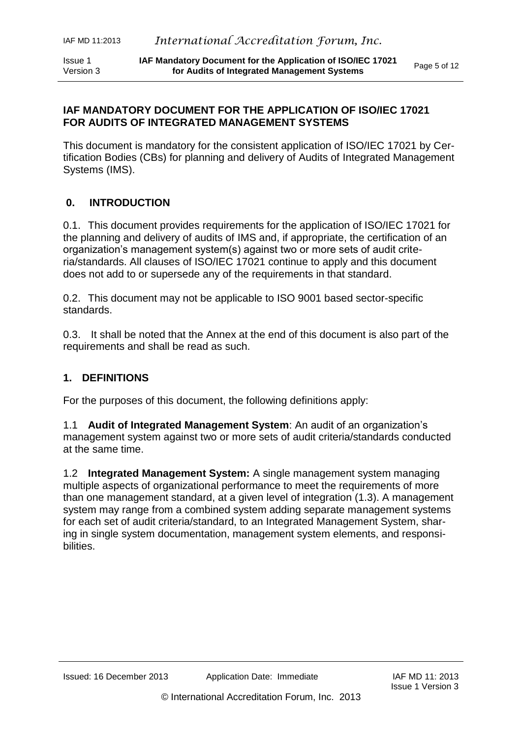#### **IAF MANDATORY DOCUMENT FOR THE APPLICATION OF ISO/IEC 17021 FOR AUDITS OF INTEGRATED MANAGEMENT SYSTEMS**

This document is mandatory for the consistent application of ISO/IEC 17021 by Certification Bodies (CBs) for planning and delivery of Audits of Integrated Management Systems (IMS).

#### <span id="page-4-0"></span>**0. INTRODUCTION**

0.1. This document provides requirements for the application of ISO/IEC 17021 for the planning and delivery of audits of IMS and, if appropriate, the certification of an organization's management system(s) against two or more sets of audit criteria/standards. All clauses of ISO/IEC 17021 continue to apply and this document does not add to or supersede any of the requirements in that standard.

0.2. This document may not be applicable to ISO 9001 based sector-specific standards.

0.3. It shall be noted that the Annex at the end of this document is also part of the requirements and shall be read as such.

#### <span id="page-4-1"></span>**1. DEFINITIONS**

For the purposes of this document, the following definitions apply:

1.1 **Audit of Integrated Management System**: An audit of an organization's management system against two or more sets of audit criteria/standards conducted at the same time.

1.2 **Integrated Management System:** A single management system managing multiple aspects of organizational performance to meet the requirements of more than one management standard, at a given level of integration (1.3). A management system may range from a combined system adding separate management systems for each set of audit criteria/standard, to an Integrated Management System, sharing in single system documentation, management system elements, and responsibilities.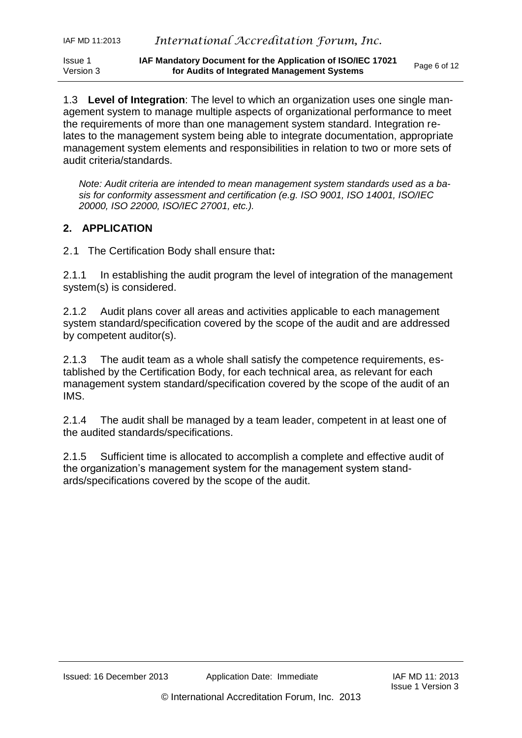1.3 **Level of Integration**: The level to which an organization uses one single management system to manage multiple aspects of organizational performance to meet the requirements of more than one management system standard. Integration relates to the management system being able to integrate documentation, appropriate management system elements and responsibilities in relation to two or more sets of audit criteria/standards.

*Note: Audit criteria are intended to mean management system standards used as a basis for conformity assessment and certification (e.g. ISO 9001, ISO 14001, ISO/IEC 20000, ISO 22000, ISO/IEC 27001, etc.).*

#### <span id="page-5-0"></span>**2. APPLICATION**

2.1 The Certification Body shall ensure that**:**

2.1.1 In establishing the audit program the level of integration of the management system(s) is considered.

2.1.2 Audit plans cover all areas and activities applicable to each management system standard/specification covered by the scope of the audit and are addressed by competent auditor(s).

2.1.3 The audit team as a whole shall satisfy the competence requirements, established by the Certification Body, for each technical area, as relevant for each management system standard/specification covered by the scope of the audit of an IMS.

2.1.4 The audit shall be managed by a team leader, competent in at least one of the audited standards/specifications.

2.1.5 Sufficient time is allocated to accomplish a complete and effective audit of the organization's management system for the management system standards/specifications covered by the scope of the audit.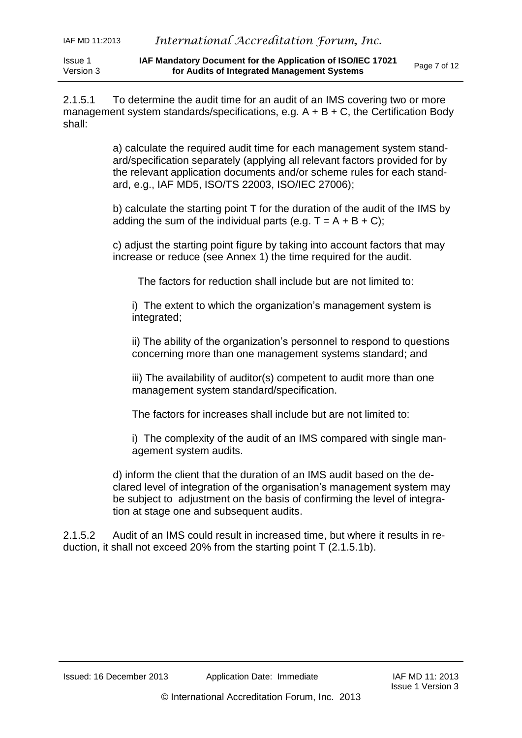2.1.5.1 To determine the audit time for an audit of an IMS covering two or more management system standards/specifications, e.g.  $A + B + C$ , the Certification Body shall:

> a) calculate the required audit time for each management system standard/specification separately (applying all relevant factors provided for by the relevant application documents and/or scheme rules for each standard, e.g., IAF MD5, ISO/TS 22003, ISO/IEC 27006);

> b) calculate the starting point T for the duration of the audit of the IMS by adding the sum of the individual parts (e.g.  $T = A + B + C$ );

c) adjust the starting point figure by taking into account factors that may increase or reduce (see Annex 1) the time required for the audit.

The factors for reduction shall include but are not limited to:

i) The extent to which the organization's management system is integrated;

ii) The ability of the organization's personnel to respond to questions concerning more than one management systems standard; and

iii) The availability of auditor(s) competent to audit more than one management system standard/specification.

The factors for increases shall include but are not limited to:

i) The complexity of the audit of an IMS compared with single management system audits.

d) inform the client that the duration of an IMS audit based on the declared level of integration of the organisation's management system may be subject to adjustment on the basis of confirming the level of integration at stage one and subsequent audits.

2.1.5.2 Audit of an IMS could result in increased time, but where it results in reduction, it shall not exceed 20% from the starting point T (2.1.5.1b).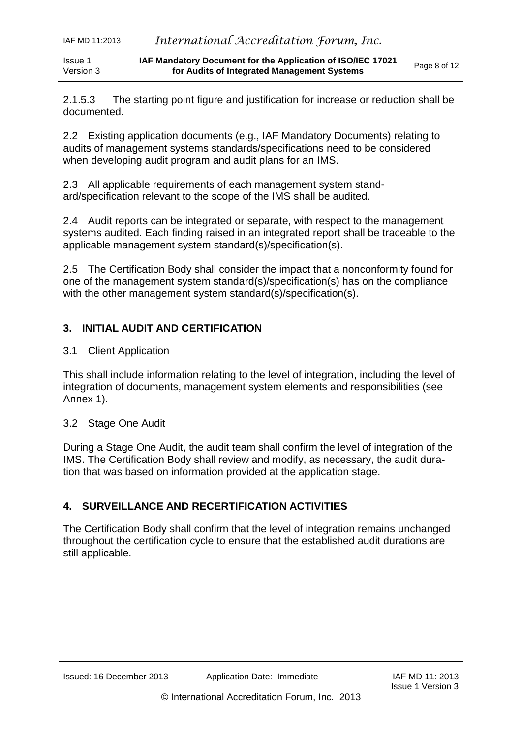Issue 1 Version 3 **IAF Mandatory Document for the Application of ISO/IEC 17021 for Audits of Integrated Management Systems** 

2.1.5.3 The starting point figure and justification for increase or reduction shall be documented.

2.2 Existing application documents (e.g., IAF Mandatory Documents) relating to audits of management systems standards/specifications need to be considered when developing audit program and audit plans for an IMS.

2.3 All applicable requirements of each management system standard/specification relevant to the scope of the IMS shall be audited.

2.4 Audit reports can be integrated or separate, with respect to the management systems audited. Each finding raised in an integrated report shall be traceable to the applicable management system standard(s)/specification(s).

2.5 The Certification Body shall consider the impact that a nonconformity found for one of the management system standard(s)/specification(s) has on the compliance with the other management system standard(s)/specification(s).

### <span id="page-7-0"></span>**3. INITIAL AUDIT AND CERTIFICATION**

3.1 Client Application

This shall include information relating to the level of integration, including the level of integration of documents, management system elements and responsibilities (see Annex 1).

#### 3.2 Stage One Audit

During a Stage One Audit, the audit team shall confirm the level of integration of the IMS. The Certification Body shall review and modify, as necessary, the audit duration that was based on information provided at the application stage.

### <span id="page-7-1"></span>**4. SURVEILLANCE AND RECERTIFICATION ACTIVITIES**

<span id="page-7-2"></span>The Certification Body shall confirm that the level of integration remains unchanged throughout the certification cycle to ensure that the established audit durations are still applicable.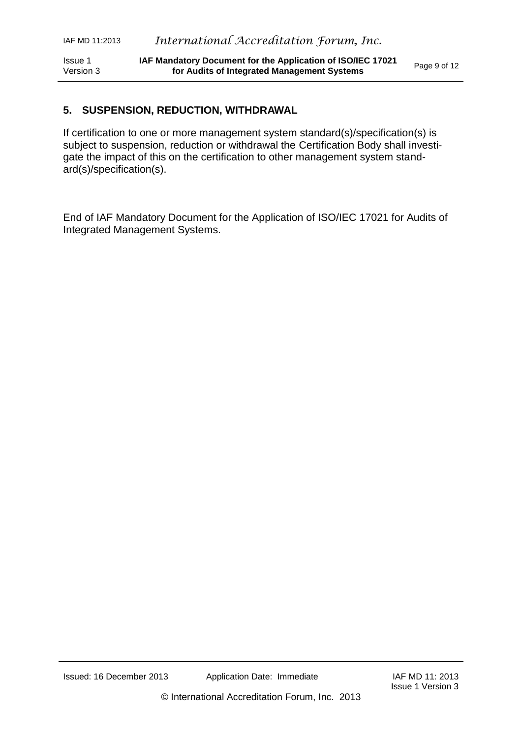#### **5. SUSPENSION, REDUCTION, WITHDRAWAL**

If certification to one or more management system standard(s)/specification(s) is subject to suspension, reduction or withdrawal the Certification Body shall investigate the impact of this on the certification to other management system standard(s)/specification(s).

End of IAF Mandatory Document for the Application of ISO/IEC 17021 for Audits of Integrated Management Systems.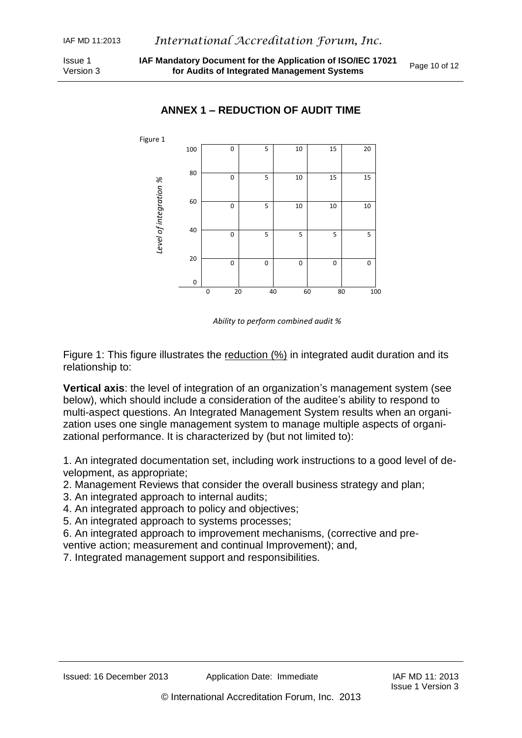<span id="page-9-0"></span>

#### **ANNEX 1 – REDUCTION OF AUDIT TIME**

*Ability to perform combined audit %*

Figure 1: This figure illustrates the reduction (%) in integrated audit duration and its relationship to:

**Vertical axis**: the level of integration of an organization's management system (see below), which should include a consideration of the auditee's ability to respond to multi-aspect questions. An Integrated Management System results when an organization uses one single management system to manage multiple aspects of organizational performance. It is characterized by (but not limited to):

1. An integrated documentation set, including work instructions to a good level of development, as appropriate;

2. Management Reviews that consider the overall business strategy and plan;

- 3. An integrated approach to internal audits;
- 4. An integrated approach to policy and objectives;
- 5. An integrated approach to systems processes;

6. An integrated approach to improvement mechanisms, (corrective and preventive action; measurement and continual Improvement); and,

7. Integrated management support and responsibilities.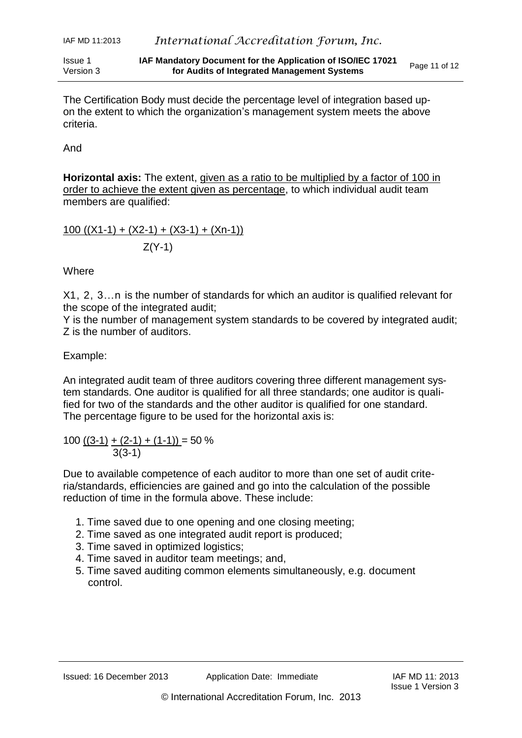Issue 1 Version 3 **IAF Mandatory Document for the Application of ISO/IEC 17021 for Audits of Integrated Management Systems** 

And

**Horizontal axis:** The extent, given as a ratio to be multiplied by a factor of 100 in order to achieve the extent given as percentage, to which individual audit team members are qualified:

100  $((X1-1) + (X2-1) + (X3-1) + (Xn-1))$  $Z(Y-1)$ 

**Where** 

X1, 2, 3…n is the number of standards for which an auditor is qualified relevant for the scope of the integrated audit;

Y is the number of management system standards to be covered by integrated audit; Z is the number of auditors.

Example:

An integrated audit team of three auditors covering three different management system standards. One auditor is qualified for all three standards; one auditor is qualified for two of the standards and the other auditor is qualified for one standard. The percentage figure to be used for the horizontal axis is:

 $100 ((3-1) + (2-1) + (1-1)) = 50 \%$  $3(3-1)$ 

Due to available competence of each auditor to more than one set of audit criteria/standards, efficiencies are gained and go into the calculation of the possible reduction of time in the formula above. These include:

- 1. Time saved due to one opening and one closing meeting;
- 2. Time saved as one integrated audit report is produced;
- 3. Time saved in optimized logistics;
- 4. Time saved in auditor team meetings; and,
- 5. Time saved auditing common elements simultaneously, e.g. document control.